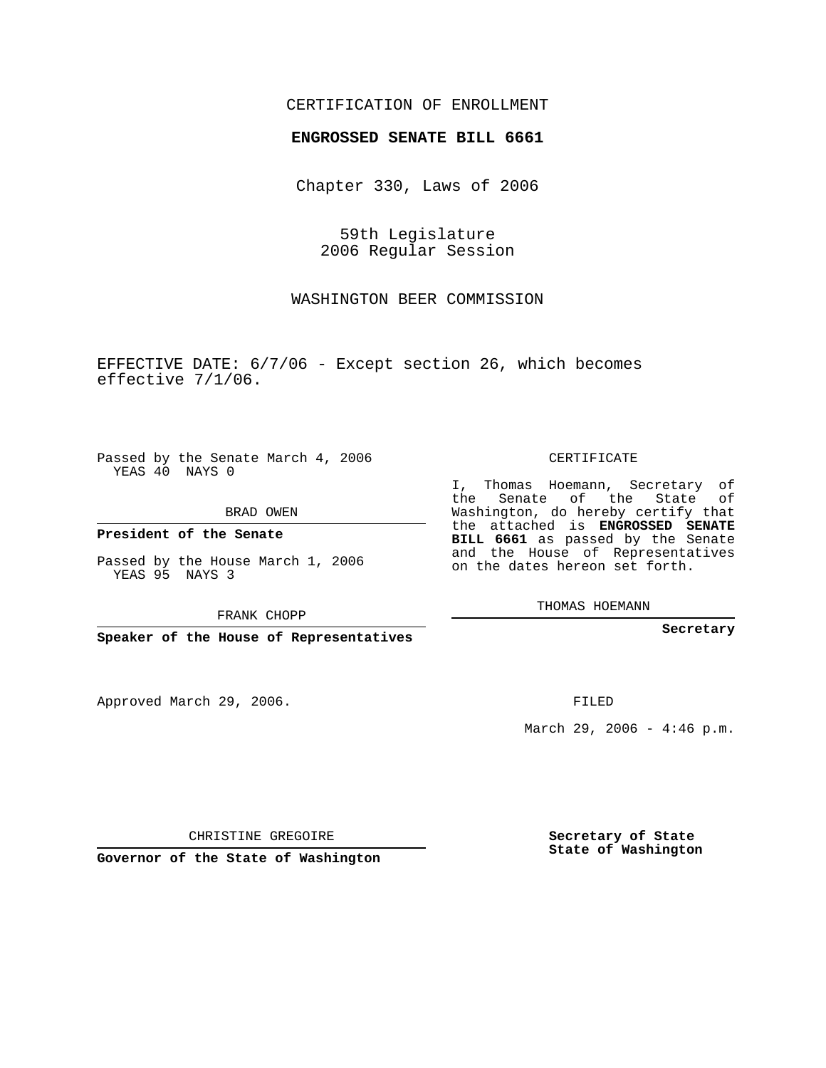## CERTIFICATION OF ENROLLMENT

## **ENGROSSED SENATE BILL 6661**

Chapter 330, Laws of 2006

59th Legislature 2006 Regular Session

WASHINGTON BEER COMMISSION

EFFECTIVE DATE: 6/7/06 - Except section 26, which becomes effective 7/1/06.

Passed by the Senate March 4, 2006 YEAS 40 NAYS 0

BRAD OWEN

**President of the Senate**

Passed by the House March 1, 2006 YEAS 95 NAYS 3

FRANK CHOPP

**Speaker of the House of Representatives**

Approved March 29, 2006.

CERTIFICATE

I, Thomas Hoemann, Secretary of the Senate of the State of Washington, do hereby certify that the attached is **ENGROSSED SENATE BILL 6661** as passed by the Senate and the House of Representatives on the dates hereon set forth.

THOMAS HOEMANN

**Secretary**

FILED

March 29, 2006 -  $4:46$  p.m.

CHRISTINE GREGOIRE

**Governor of the State of Washington**

**Secretary of State State of Washington**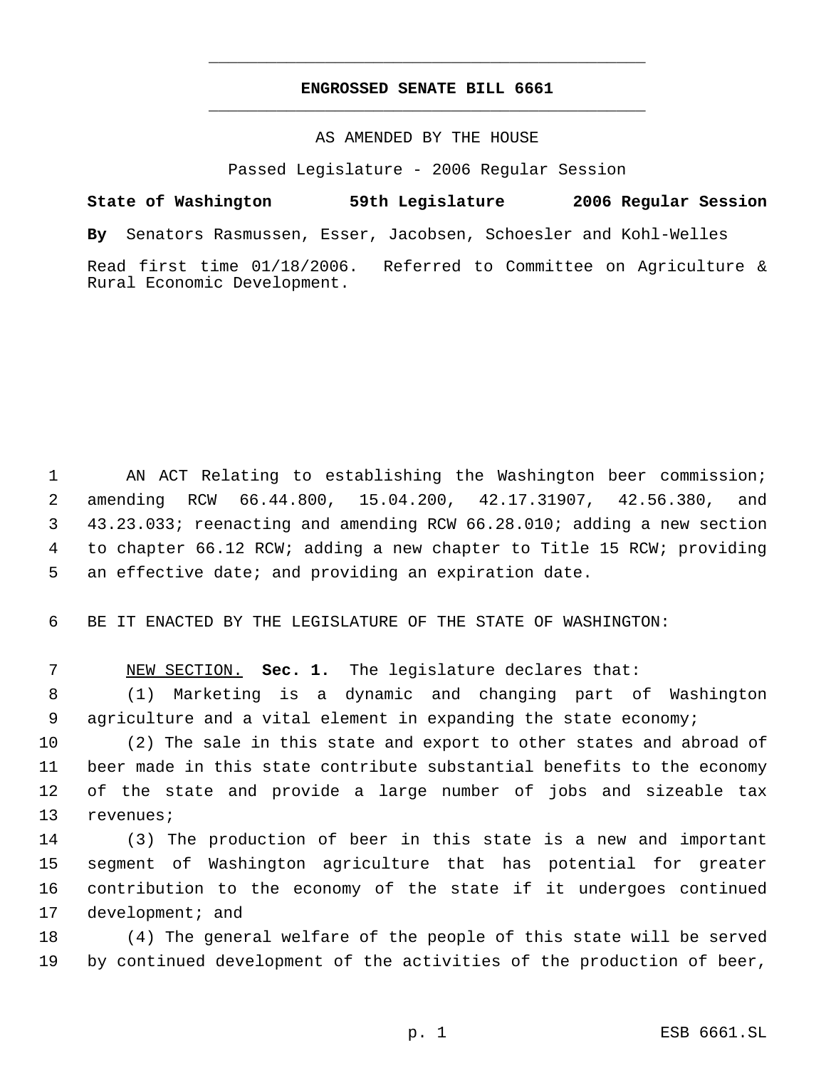## **ENGROSSED SENATE BILL 6661** \_\_\_\_\_\_\_\_\_\_\_\_\_\_\_\_\_\_\_\_\_\_\_\_\_\_\_\_\_\_\_\_\_\_\_\_\_\_\_\_\_\_\_\_\_

\_\_\_\_\_\_\_\_\_\_\_\_\_\_\_\_\_\_\_\_\_\_\_\_\_\_\_\_\_\_\_\_\_\_\_\_\_\_\_\_\_\_\_\_\_

## AS AMENDED BY THE HOUSE

Passed Legislature - 2006 Regular Session

**State of Washington 59th Legislature 2006 Regular Session By** Senators Rasmussen, Esser, Jacobsen, Schoesler and Kohl-Welles Read first time 01/18/2006. Referred to Committee on Agriculture & Rural Economic Development.

 AN ACT Relating to establishing the Washington beer commission; amending RCW 66.44.800, 15.04.200, 42.17.31907, 42.56.380, and 43.23.033; reenacting and amending RCW 66.28.010; adding a new section to chapter 66.12 RCW; adding a new chapter to Title 15 RCW; providing an effective date; and providing an expiration date.

6 BE IT ENACTED BY THE LEGISLATURE OF THE STATE OF WASHINGTON:

7 NEW SECTION. **Sec. 1.** The legislature declares that:

 8 (1) Marketing is a dynamic and changing part of Washington 9 agriculture and a vital element in expanding the state economy;

 (2) The sale in this state and export to other states and abroad of beer made in this state contribute substantial benefits to the economy of the state and provide a large number of jobs and sizeable tax revenues;

 (3) The production of beer in this state is a new and important segment of Washington agriculture that has potential for greater contribution to the economy of the state if it undergoes continued 17 development; and

18 (4) The general welfare of the people of this state will be served 19 by continued development of the activities of the production of beer,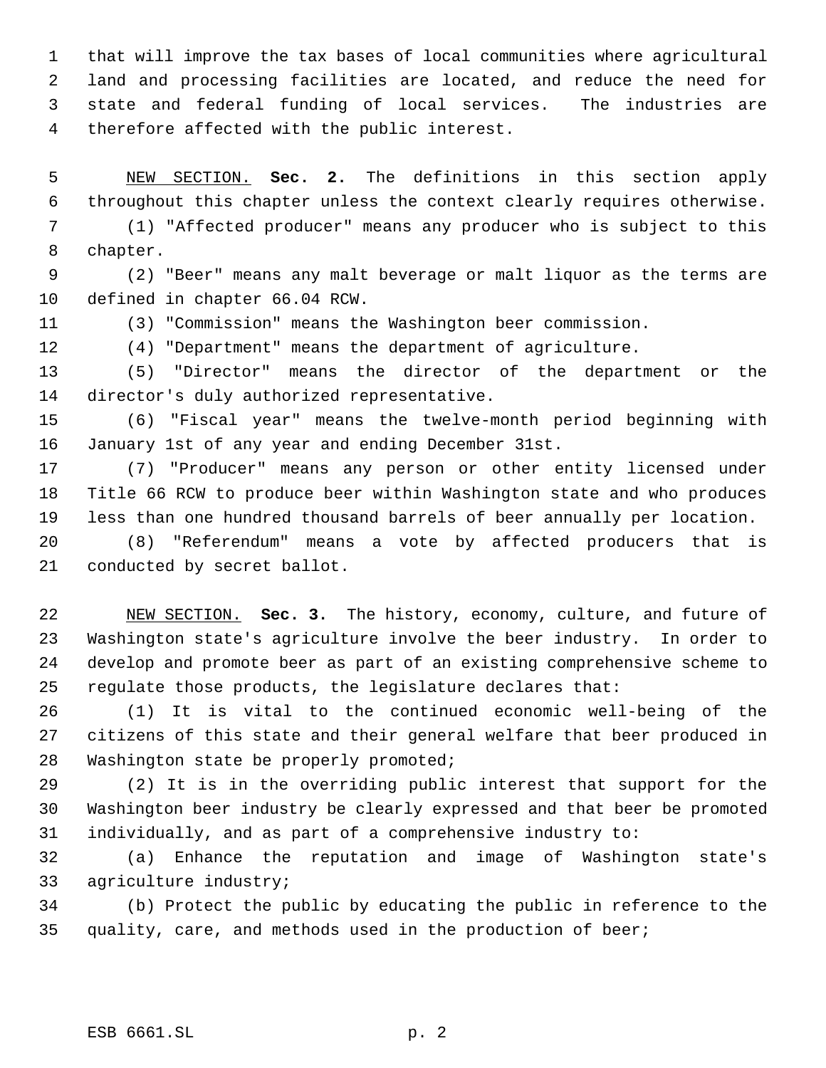that will improve the tax bases of local communities where agricultural land and processing facilities are located, and reduce the need for state and federal funding of local services. The industries are therefore affected with the public interest.

 NEW SECTION. **Sec. 2.** The definitions in this section apply throughout this chapter unless the context clearly requires otherwise.

 (1) "Affected producer" means any producer who is subject to this chapter.

 (2) "Beer" means any malt beverage or malt liquor as the terms are defined in chapter 66.04 RCW.

(3) "Commission" means the Washington beer commission.

(4) "Department" means the department of agriculture.

 (5) "Director" means the director of the department or the director's duly authorized representative.

 (6) "Fiscal year" means the twelve-month period beginning with January 1st of any year and ending December 31st.

 (7) "Producer" means any person or other entity licensed under Title 66 RCW to produce beer within Washington state and who produces less than one hundred thousand barrels of beer annually per location.

 (8) "Referendum" means a vote by affected producers that is conducted by secret ballot.

 NEW SECTION. **Sec. 3.** The history, economy, culture, and future of Washington state's agriculture involve the beer industry. In order to develop and promote beer as part of an existing comprehensive scheme to regulate those products, the legislature declares that:

 (1) It is vital to the continued economic well-being of the citizens of this state and their general welfare that beer produced in Washington state be properly promoted;

 (2) It is in the overriding public interest that support for the Washington beer industry be clearly expressed and that beer be promoted individually, and as part of a comprehensive industry to:

 (a) Enhance the reputation and image of Washington state's agriculture industry;

 (b) Protect the public by educating the public in reference to the quality, care, and methods used in the production of beer;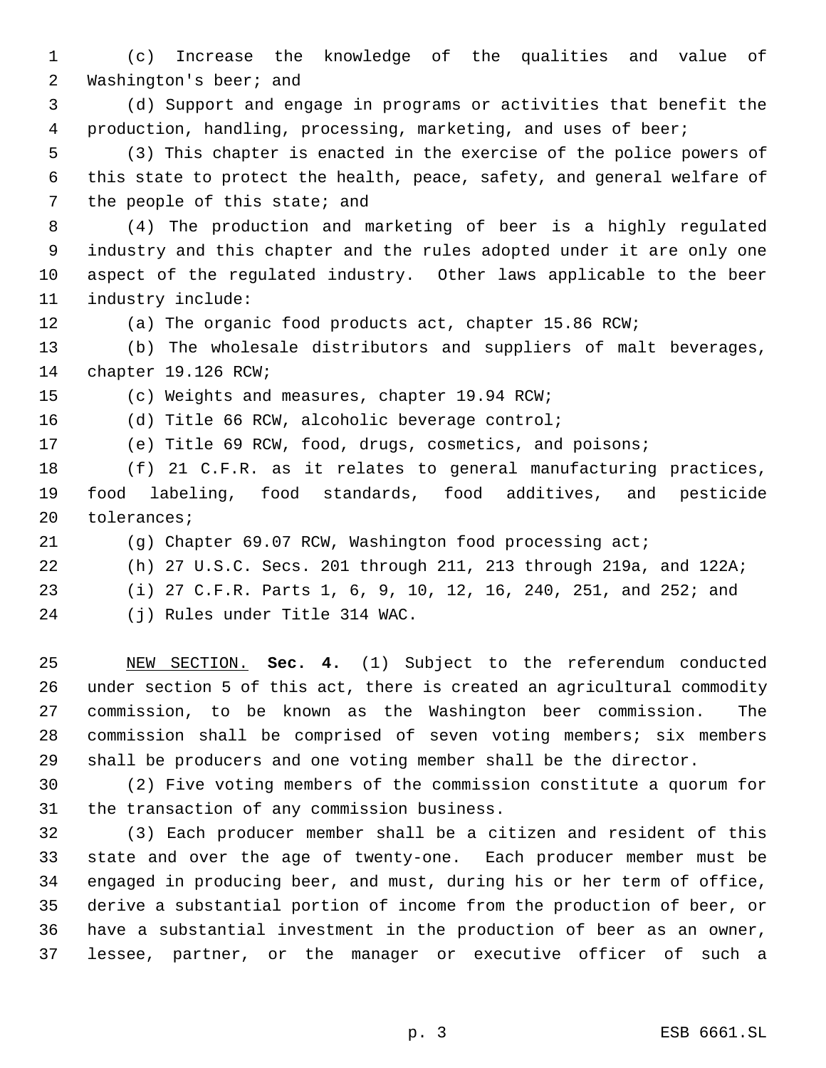(c) Increase the knowledge of the qualities and value of 2 Washington's beer; and

 (d) Support and engage in programs or activities that benefit the production, handling, processing, marketing, and uses of beer;

 (3) This chapter is enacted in the exercise of the police powers of this state to protect the health, peace, safety, and general welfare of 7 the people of this state; and

 (4) The production and marketing of beer is a highly regulated industry and this chapter and the rules adopted under it are only one aspect of the regulated industry. Other laws applicable to the beer industry include:

(a) The organic food products act, chapter 15.86 RCW;

 (b) The wholesale distributors and suppliers of malt beverages, chapter 19.126 RCW;

(c) Weights and measures, chapter 19.94 RCW;

(d) Title 66 RCW, alcoholic beverage control;

(e) Title 69 RCW, food, drugs, cosmetics, and poisons;

 (f) 21 C.F.R. as it relates to general manufacturing practices, food labeling, food standards, food additives, and pesticide tolerances;

(g) Chapter 69.07 RCW, Washington food processing act;

(h) 27 U.S.C. Secs. 201 through 211, 213 through 219a, and 122A;

(i) 27 C.F.R. Parts 1, 6, 9, 10, 12, 16, 240, 251, and 252; and

(j) Rules under Title 314 WAC.

 NEW SECTION. **Sec. 4.** (1) Subject to the referendum conducted under section 5 of this act, there is created an agricultural commodity commission, to be known as the Washington beer commission. The commission shall be comprised of seven voting members; six members shall be producers and one voting member shall be the director.

 (2) Five voting members of the commission constitute a quorum for the transaction of any commission business.

 (3) Each producer member shall be a citizen and resident of this state and over the age of twenty-one. Each producer member must be engaged in producing beer, and must, during his or her term of office, derive a substantial portion of income from the production of beer, or have a substantial investment in the production of beer as an owner, lessee, partner, or the manager or executive officer of such a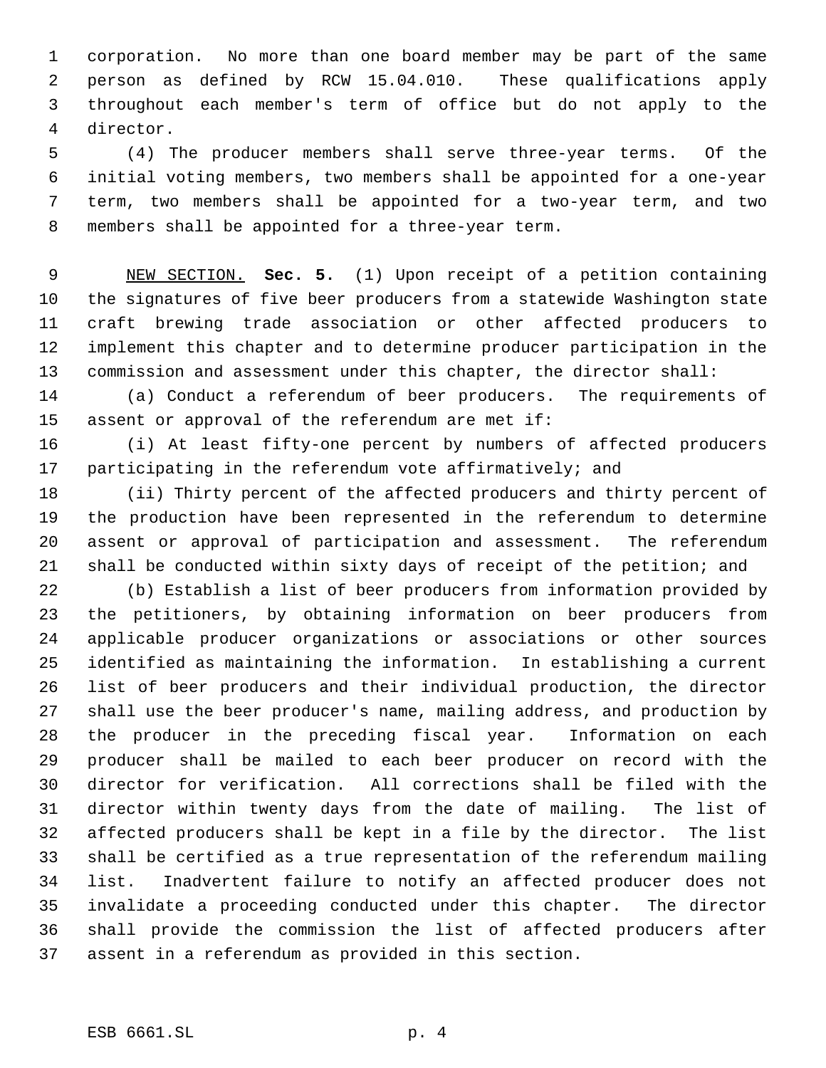corporation. No more than one board member may be part of the same person as defined by RCW 15.04.010. These qualifications apply throughout each member's term of office but do not apply to the director.

 (4) The producer members shall serve three-year terms. Of the initial voting members, two members shall be appointed for a one-year term, two members shall be appointed for a two-year term, and two members shall be appointed for a three-year term.

 NEW SECTION. **Sec. 5.** (1) Upon receipt of a petition containing the signatures of five beer producers from a statewide Washington state craft brewing trade association or other affected producers to implement this chapter and to determine producer participation in the commission and assessment under this chapter, the director shall:

 (a) Conduct a referendum of beer producers. The requirements of assent or approval of the referendum are met if:

 (i) At least fifty-one percent by numbers of affected producers participating in the referendum vote affirmatively; and

 (ii) Thirty percent of the affected producers and thirty percent of the production have been represented in the referendum to determine assent or approval of participation and assessment. The referendum shall be conducted within sixty days of receipt of the petition; and

 (b) Establish a list of beer producers from information provided by the petitioners, by obtaining information on beer producers from applicable producer organizations or associations or other sources identified as maintaining the information. In establishing a current list of beer producers and their individual production, the director shall use the beer producer's name, mailing address, and production by the producer in the preceding fiscal year. Information on each producer shall be mailed to each beer producer on record with the director for verification. All corrections shall be filed with the director within twenty days from the date of mailing. The list of affected producers shall be kept in a file by the director. The list shall be certified as a true representation of the referendum mailing list. Inadvertent failure to notify an affected producer does not invalidate a proceeding conducted under this chapter. The director shall provide the commission the list of affected producers after assent in a referendum as provided in this section.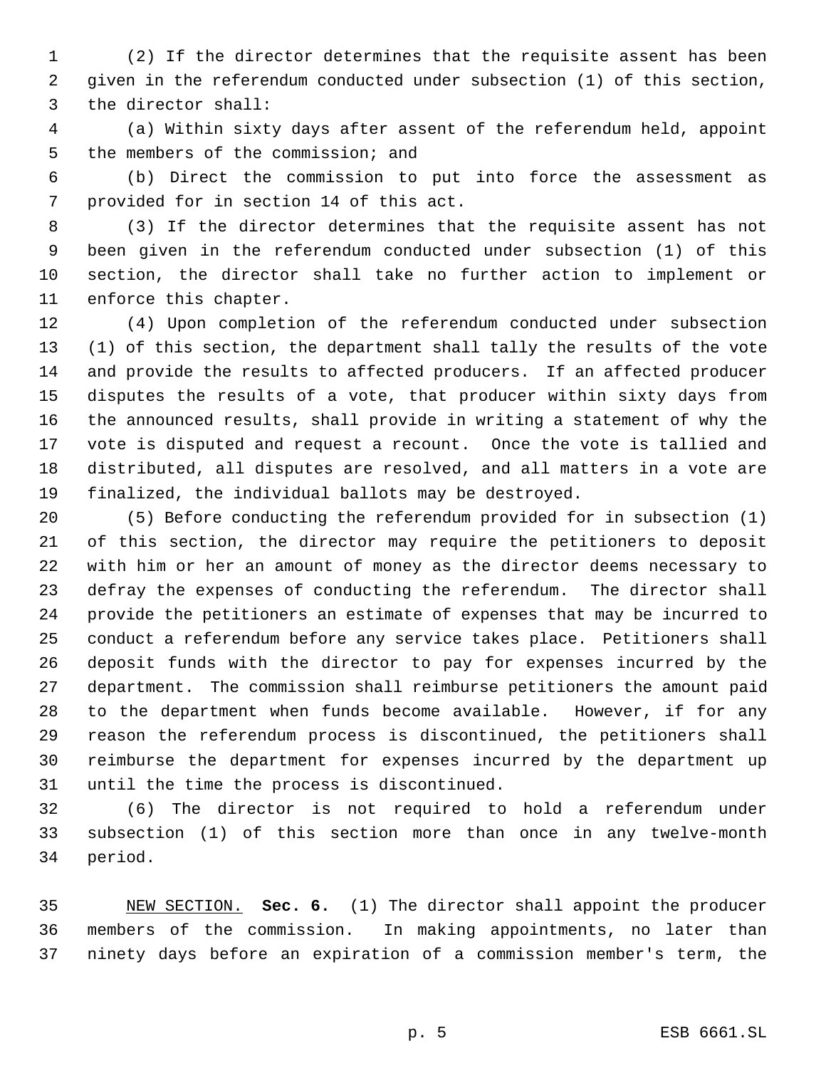(2) If the director determines that the requisite assent has been given in the referendum conducted under subsection (1) of this section, the director shall:

 (a) Within sixty days after assent of the referendum held, appoint the members of the commission; and

 (b) Direct the commission to put into force the assessment as provided for in section 14 of this act.

 (3) If the director determines that the requisite assent has not been given in the referendum conducted under subsection (1) of this section, the director shall take no further action to implement or enforce this chapter.

 (4) Upon completion of the referendum conducted under subsection (1) of this section, the department shall tally the results of the vote and provide the results to affected producers. If an affected producer disputes the results of a vote, that producer within sixty days from the announced results, shall provide in writing a statement of why the vote is disputed and request a recount. Once the vote is tallied and distributed, all disputes are resolved, and all matters in a vote are finalized, the individual ballots may be destroyed.

 (5) Before conducting the referendum provided for in subsection (1) of this section, the director may require the petitioners to deposit with him or her an amount of money as the director deems necessary to defray the expenses of conducting the referendum. The director shall provide the petitioners an estimate of expenses that may be incurred to conduct a referendum before any service takes place. Petitioners shall deposit funds with the director to pay for expenses incurred by the department. The commission shall reimburse petitioners the amount paid to the department when funds become available. However, if for any reason the referendum process is discontinued, the petitioners shall reimburse the department for expenses incurred by the department up until the time the process is discontinued.

 (6) The director is not required to hold a referendum under subsection (1) of this section more than once in any twelve-month period.

 NEW SECTION. **Sec. 6.** (1) The director shall appoint the producer members of the commission. In making appointments, no later than ninety days before an expiration of a commission member's term, the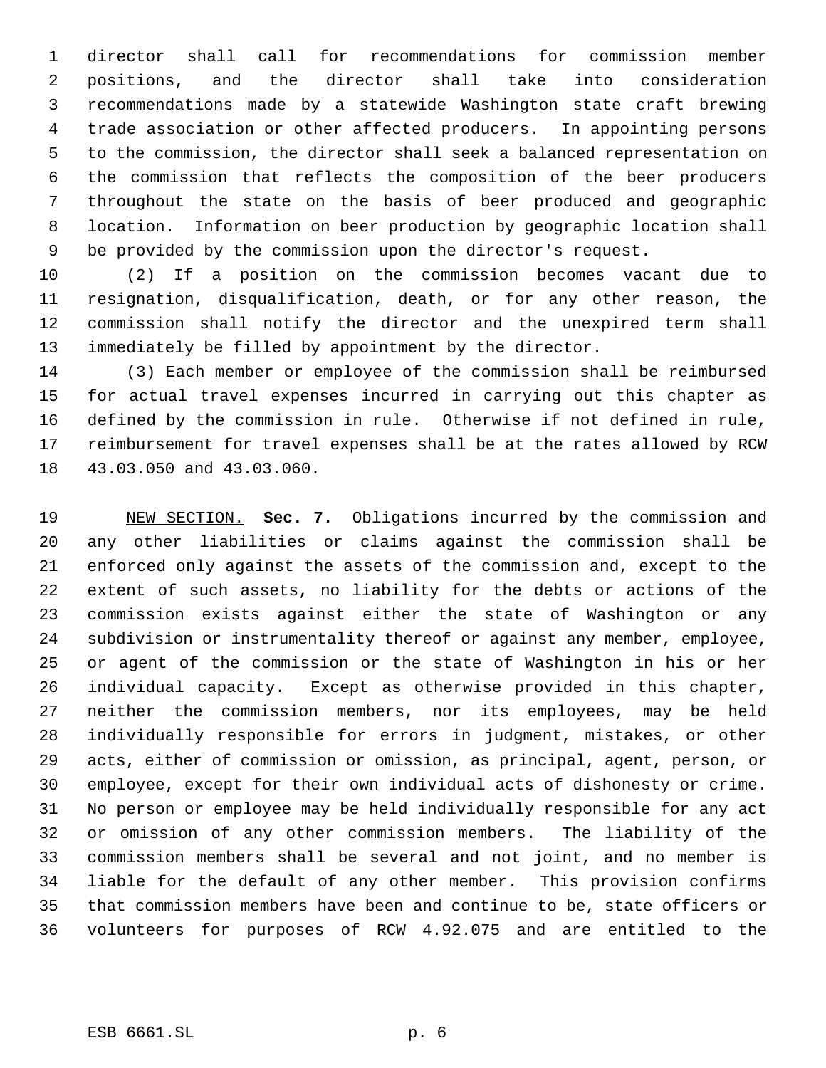director shall call for recommendations for commission member positions, and the director shall take into consideration recommendations made by a statewide Washington state craft brewing trade association or other affected producers. In appointing persons to the commission, the director shall seek a balanced representation on the commission that reflects the composition of the beer producers throughout the state on the basis of beer produced and geographic location. Information on beer production by geographic location shall be provided by the commission upon the director's request.

 (2) If a position on the commission becomes vacant due to resignation, disqualification, death, or for any other reason, the commission shall notify the director and the unexpired term shall immediately be filled by appointment by the director.

 (3) Each member or employee of the commission shall be reimbursed for actual travel expenses incurred in carrying out this chapter as defined by the commission in rule. Otherwise if not defined in rule, reimbursement for travel expenses shall be at the rates allowed by RCW 43.03.050 and 43.03.060.

 NEW SECTION. **Sec. 7.** Obligations incurred by the commission and any other liabilities or claims against the commission shall be enforced only against the assets of the commission and, except to the extent of such assets, no liability for the debts or actions of the commission exists against either the state of Washington or any subdivision or instrumentality thereof or against any member, employee, or agent of the commission or the state of Washington in his or her individual capacity. Except as otherwise provided in this chapter, neither the commission members, nor its employees, may be held individually responsible for errors in judgment, mistakes, or other acts, either of commission or omission, as principal, agent, person, or employee, except for their own individual acts of dishonesty or crime. No person or employee may be held individually responsible for any act or omission of any other commission members. The liability of the commission members shall be several and not joint, and no member is liable for the default of any other member. This provision confirms that commission members have been and continue to be, state officers or volunteers for purposes of RCW 4.92.075 and are entitled to the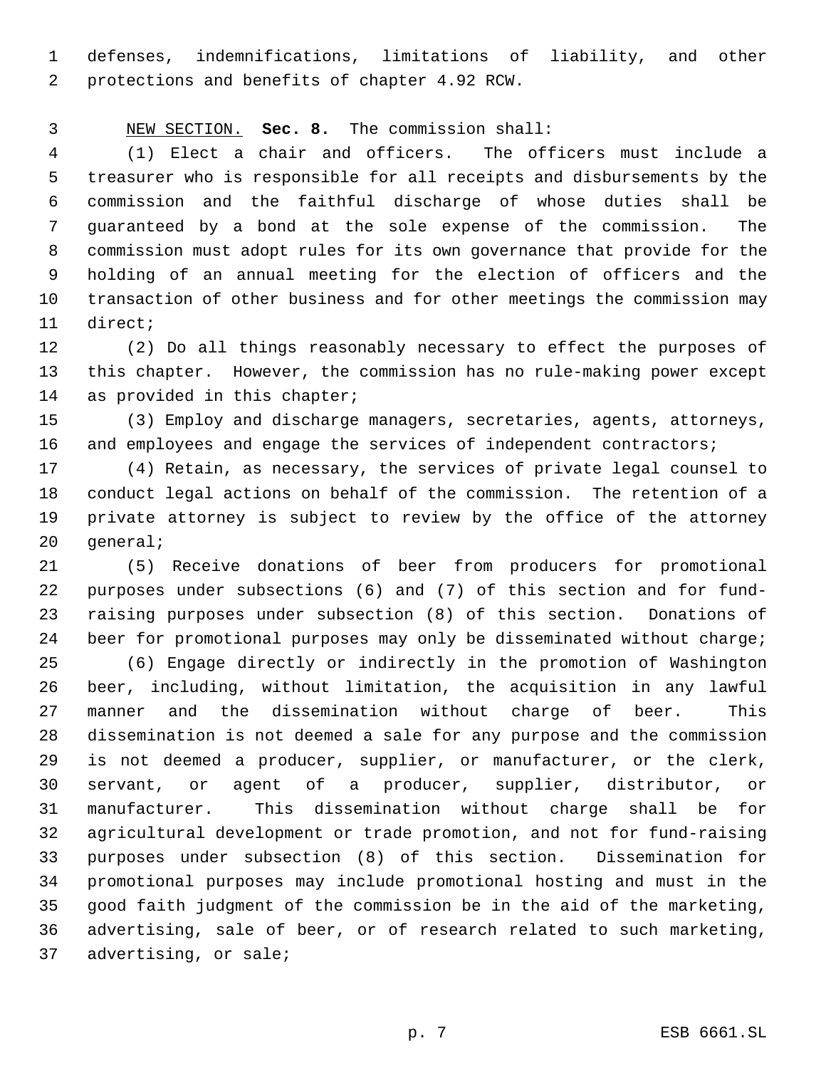defenses, indemnifications, limitations of liability, and other protections and benefits of chapter 4.92 RCW.

NEW SECTION. **Sec. 8.** The commission shall:

 (1) Elect a chair and officers. The officers must include a treasurer who is responsible for all receipts and disbursements by the commission and the faithful discharge of whose duties shall be guaranteed by a bond at the sole expense of the commission. The commission must adopt rules for its own governance that provide for the holding of an annual meeting for the election of officers and the transaction of other business and for other meetings the commission may direct;

 (2) Do all things reasonably necessary to effect the purposes of this chapter. However, the commission has no rule-making power except 14 as provided in this chapter;

 (3) Employ and discharge managers, secretaries, agents, attorneys, 16 and employees and engage the services of independent contractors;

 (4) Retain, as necessary, the services of private legal counsel to conduct legal actions on behalf of the commission. The retention of a private attorney is subject to review by the office of the attorney general;

 (5) Receive donations of beer from producers for promotional purposes under subsections (6) and (7) of this section and for fund- raising purposes under subsection (8) of this section. Donations of beer for promotional purposes may only be disseminated without charge;

 (6) Engage directly or indirectly in the promotion of Washington beer, including, without limitation, the acquisition in any lawful manner and the dissemination without charge of beer. This dissemination is not deemed a sale for any purpose and the commission is not deemed a producer, supplier, or manufacturer, or the clerk, servant, or agent of a producer, supplier, distributor, or manufacturer. This dissemination without charge shall be for agricultural development or trade promotion, and not for fund-raising purposes under subsection (8) of this section. Dissemination for promotional purposes may include promotional hosting and must in the good faith judgment of the commission be in the aid of the marketing, advertising, sale of beer, or of research related to such marketing, advertising, or sale;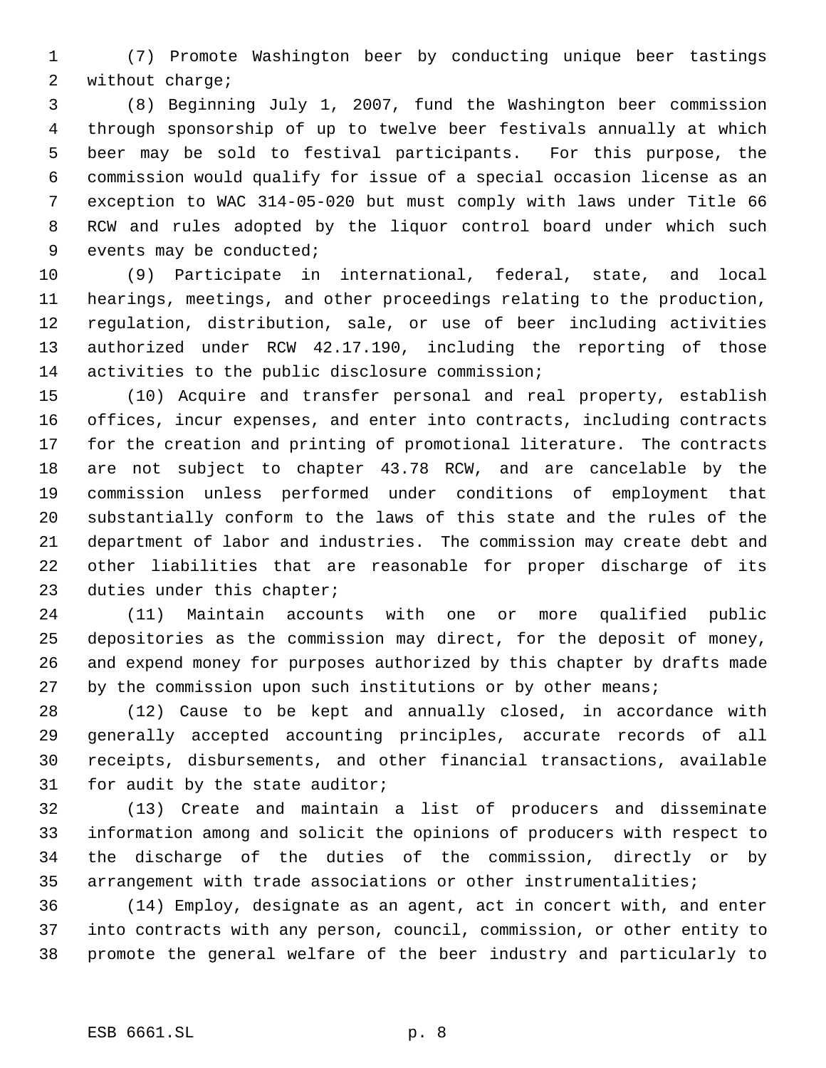(7) Promote Washington beer by conducting unique beer tastings without charge;

 (8) Beginning July 1, 2007, fund the Washington beer commission through sponsorship of up to twelve beer festivals annually at which beer may be sold to festival participants. For this purpose, the commission would qualify for issue of a special occasion license as an exception to WAC 314-05-020 but must comply with laws under Title 66 RCW and rules adopted by the liquor control board under which such events may be conducted;

 (9) Participate in international, federal, state, and local hearings, meetings, and other proceedings relating to the production, regulation, distribution, sale, or use of beer including activities authorized under RCW 42.17.190, including the reporting of those 14 activities to the public disclosure commission;

 (10) Acquire and transfer personal and real property, establish offices, incur expenses, and enter into contracts, including contracts for the creation and printing of promotional literature. The contracts are not subject to chapter 43.78 RCW, and are cancelable by the commission unless performed under conditions of employment that substantially conform to the laws of this state and the rules of the department of labor and industries. The commission may create debt and other liabilities that are reasonable for proper discharge of its duties under this chapter;

 (11) Maintain accounts with one or more qualified public depositories as the commission may direct, for the deposit of money, and expend money for purposes authorized by this chapter by drafts made 27 by the commission upon such institutions or by other means;

 (12) Cause to be kept and annually closed, in accordance with generally accepted accounting principles, accurate records of all receipts, disbursements, and other financial transactions, available for audit by the state auditor;

 (13) Create and maintain a list of producers and disseminate information among and solicit the opinions of producers with respect to the discharge of the duties of the commission, directly or by arrangement with trade associations or other instrumentalities;

 (14) Employ, designate as an agent, act in concert with, and enter into contracts with any person, council, commission, or other entity to promote the general welfare of the beer industry and particularly to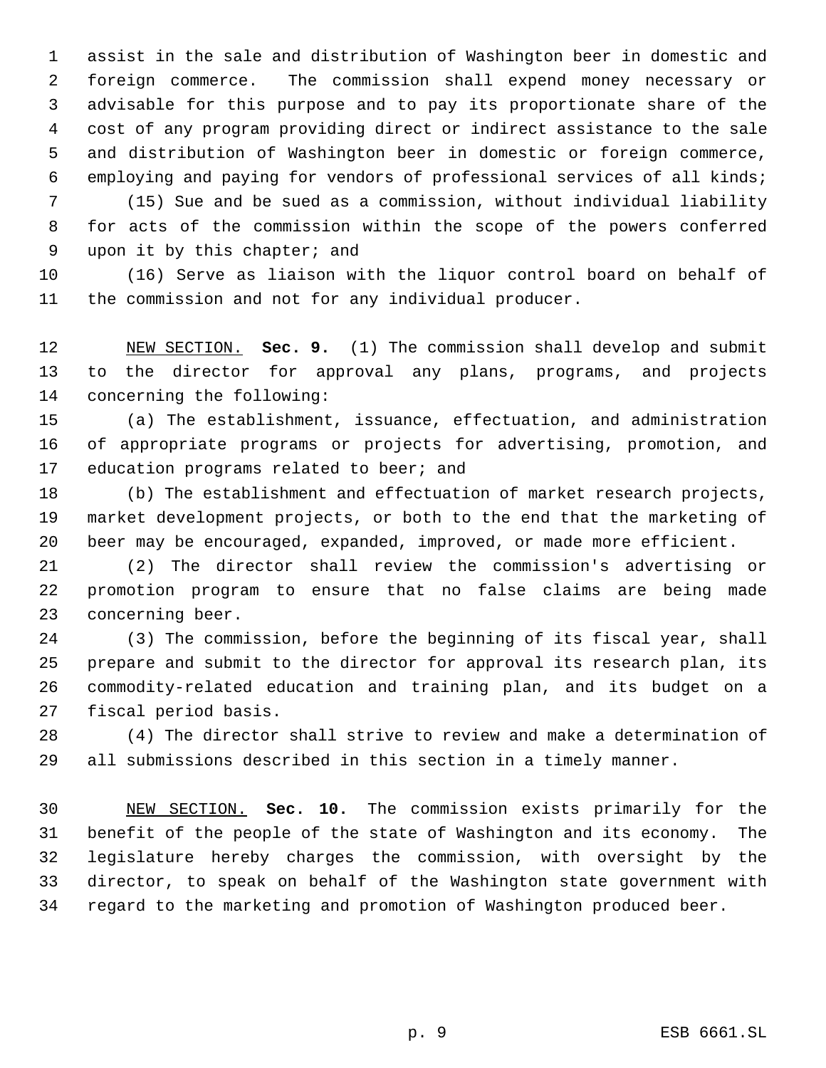assist in the sale and distribution of Washington beer in domestic and foreign commerce. The commission shall expend money necessary or advisable for this purpose and to pay its proportionate share of the cost of any program providing direct or indirect assistance to the sale and distribution of Washington beer in domestic or foreign commerce, employing and paying for vendors of professional services of all kinds;

 (15) Sue and be sued as a commission, without individual liability for acts of the commission within the scope of the powers conferred upon it by this chapter; and

 (16) Serve as liaison with the liquor control board on behalf of the commission and not for any individual producer.

 NEW SECTION. **Sec. 9.** (1) The commission shall develop and submit to the director for approval any plans, programs, and projects concerning the following:

 (a) The establishment, issuance, effectuation, and administration of appropriate programs or projects for advertising, promotion, and 17 education programs related to beer; and

 (b) The establishment and effectuation of market research projects, market development projects, or both to the end that the marketing of beer may be encouraged, expanded, improved, or made more efficient.

 (2) The director shall review the commission's advertising or promotion program to ensure that no false claims are being made concerning beer.

 (3) The commission, before the beginning of its fiscal year, shall prepare and submit to the director for approval its research plan, its commodity-related education and training plan, and its budget on a fiscal period basis.

 (4) The director shall strive to review and make a determination of all submissions described in this section in a timely manner.

 NEW SECTION. **Sec. 10.** The commission exists primarily for the benefit of the people of the state of Washington and its economy. The legislature hereby charges the commission, with oversight by the director, to speak on behalf of the Washington state government with regard to the marketing and promotion of Washington produced beer.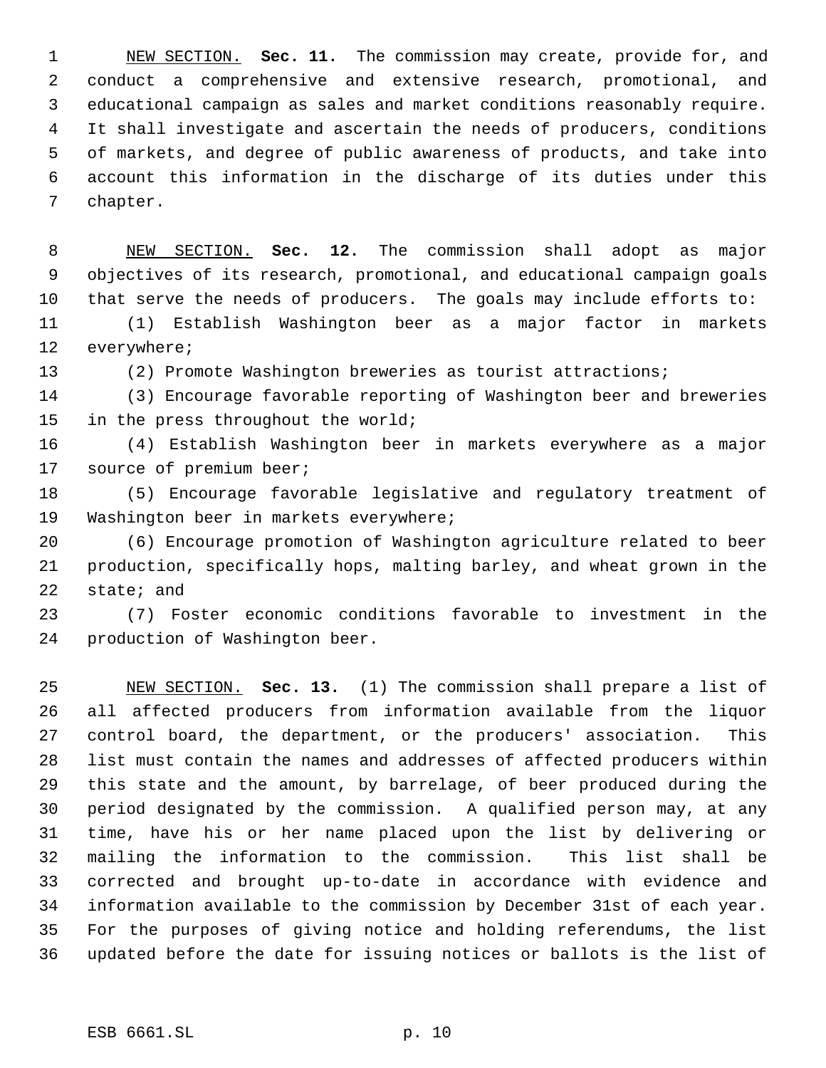NEW SECTION. **Sec. 11.** The commission may create, provide for, and conduct a comprehensive and extensive research, promotional, and educational campaign as sales and market conditions reasonably require. It shall investigate and ascertain the needs of producers, conditions of markets, and degree of public awareness of products, and take into account this information in the discharge of its duties under this chapter.

 NEW SECTION. **Sec. 12.** The commission shall adopt as major objectives of its research, promotional, and educational campaign goals that serve the needs of producers. The goals may include efforts to:

 (1) Establish Washington beer as a major factor in markets everywhere;

(2) Promote Washington breweries as tourist attractions;

 (3) Encourage favorable reporting of Washington beer and breweries in the press throughout the world;

 (4) Establish Washington beer in markets everywhere as a major 17 source of premium beer;

 (5) Encourage favorable legislative and regulatory treatment of Washington beer in markets everywhere;

 (6) Encourage promotion of Washington agriculture related to beer production, specifically hops, malting barley, and wheat grown in the state; and

 (7) Foster economic conditions favorable to investment in the production of Washington beer.

 NEW SECTION. **Sec. 13.** (1) The commission shall prepare a list of all affected producers from information available from the liquor control board, the department, or the producers' association. This list must contain the names and addresses of affected producers within this state and the amount, by barrelage, of beer produced during the period designated by the commission. A qualified person may, at any time, have his or her name placed upon the list by delivering or mailing the information to the commission. This list shall be corrected and brought up-to-date in accordance with evidence and information available to the commission by December 31st of each year. For the purposes of giving notice and holding referendums, the list updated before the date for issuing notices or ballots is the list of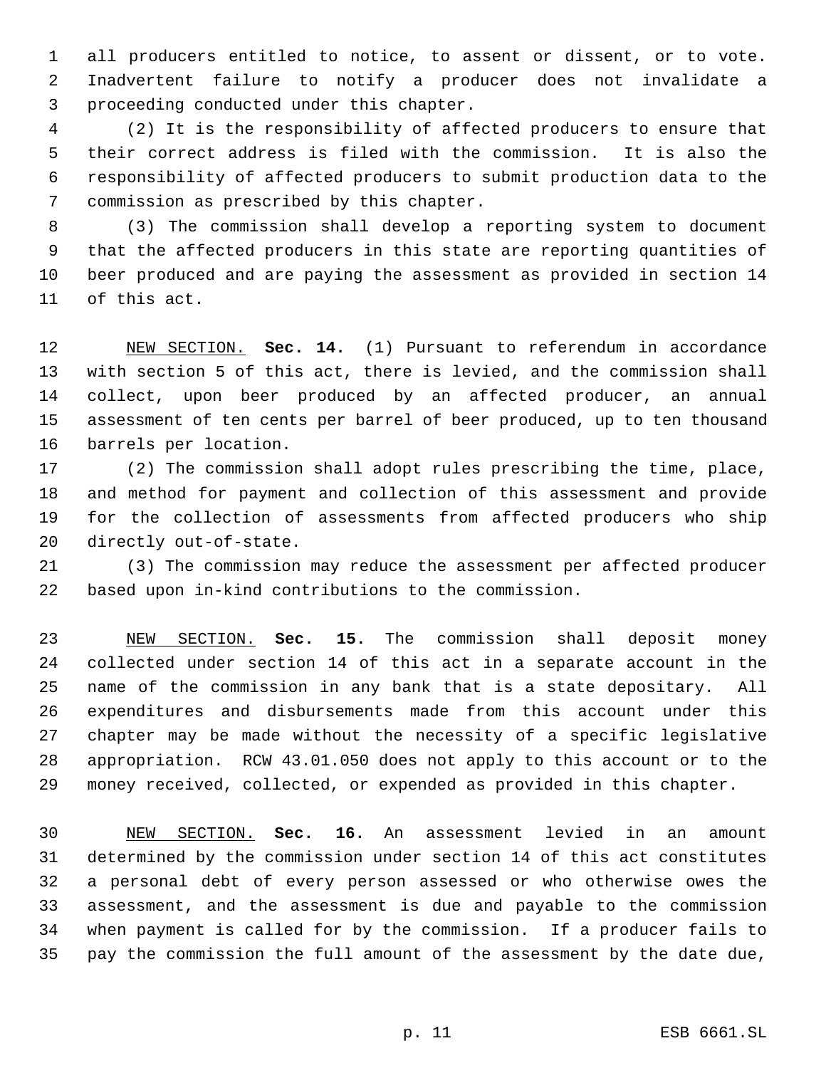all producers entitled to notice, to assent or dissent, or to vote. Inadvertent failure to notify a producer does not invalidate a proceeding conducted under this chapter.

 (2) It is the responsibility of affected producers to ensure that their correct address is filed with the commission. It is also the responsibility of affected producers to submit production data to the commission as prescribed by this chapter.

 (3) The commission shall develop a reporting system to document that the affected producers in this state are reporting quantities of beer produced and are paying the assessment as provided in section 14 of this act.

 NEW SECTION. **Sec. 14.** (1) Pursuant to referendum in accordance with section 5 of this act, there is levied, and the commission shall collect, upon beer produced by an affected producer, an annual assessment of ten cents per barrel of beer produced, up to ten thousand barrels per location.

 (2) The commission shall adopt rules prescribing the time, place, and method for payment and collection of this assessment and provide for the collection of assessments from affected producers who ship directly out-of-state.

 (3) The commission may reduce the assessment per affected producer based upon in-kind contributions to the commission.

 NEW SECTION. **Sec. 15.** The commission shall deposit money collected under section 14 of this act in a separate account in the name of the commission in any bank that is a state depositary. All expenditures and disbursements made from this account under this chapter may be made without the necessity of a specific legislative appropriation. RCW 43.01.050 does not apply to this account or to the money received, collected, or expended as provided in this chapter.

 NEW SECTION. **Sec. 16.** An assessment levied in an amount determined by the commission under section 14 of this act constitutes a personal debt of every person assessed or who otherwise owes the assessment, and the assessment is due and payable to the commission when payment is called for by the commission. If a producer fails to pay the commission the full amount of the assessment by the date due,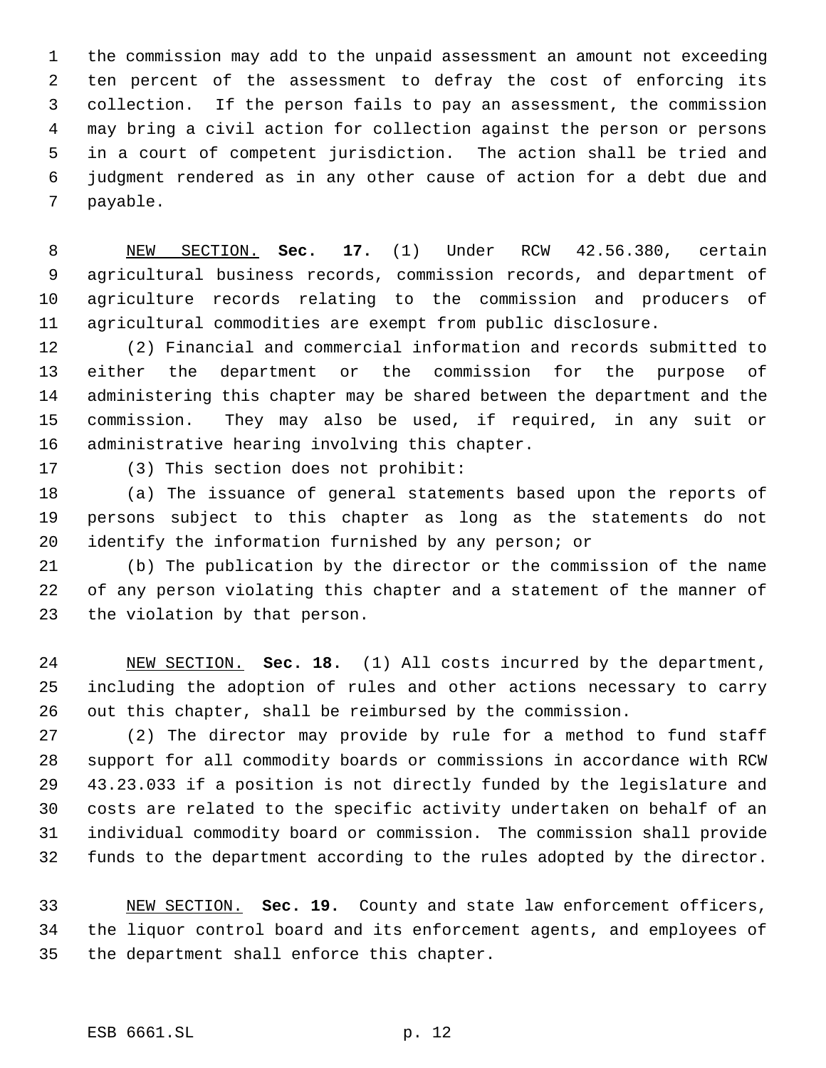the commission may add to the unpaid assessment an amount not exceeding ten percent of the assessment to defray the cost of enforcing its collection. If the person fails to pay an assessment, the commission may bring a civil action for collection against the person or persons in a court of competent jurisdiction. The action shall be tried and judgment rendered as in any other cause of action for a debt due and payable.

 NEW SECTION. **Sec. 17.** (1) Under RCW 42.56.380, certain agricultural business records, commission records, and department of agriculture records relating to the commission and producers of agricultural commodities are exempt from public disclosure.

 (2) Financial and commercial information and records submitted to either the department or the commission for the purpose of administering this chapter may be shared between the department and the commission. They may also be used, if required, in any suit or administrative hearing involving this chapter.

(3) This section does not prohibit:

 (a) The issuance of general statements based upon the reports of persons subject to this chapter as long as the statements do not identify the information furnished by any person; or

 (b) The publication by the director or the commission of the name of any person violating this chapter and a statement of the manner of the violation by that person.

 NEW SECTION. **Sec. 18.** (1) All costs incurred by the department, including the adoption of rules and other actions necessary to carry out this chapter, shall be reimbursed by the commission.

 (2) The director may provide by rule for a method to fund staff support for all commodity boards or commissions in accordance with RCW 43.23.033 if a position is not directly funded by the legislature and costs are related to the specific activity undertaken on behalf of an individual commodity board or commission. The commission shall provide funds to the department according to the rules adopted by the director.

 NEW SECTION. **Sec. 19.** County and state law enforcement officers, the liquor control board and its enforcement agents, and employees of the department shall enforce this chapter.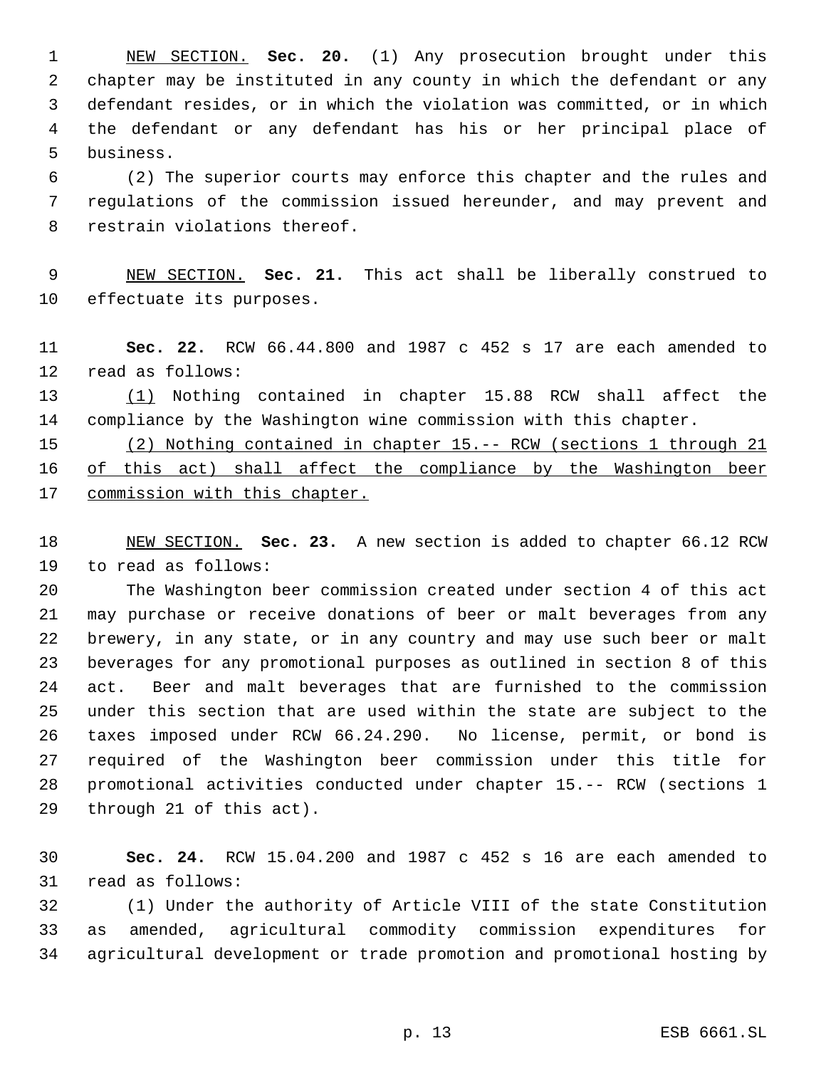NEW SECTION. **Sec. 20.** (1) Any prosecution brought under this chapter may be instituted in any county in which the defendant or any defendant resides, or in which the violation was committed, or in which the defendant or any defendant has his or her principal place of business.

 (2) The superior courts may enforce this chapter and the rules and regulations of the commission issued hereunder, and may prevent and restrain violations thereof.

 NEW SECTION. **Sec. 21.** This act shall be liberally construed to effectuate its purposes.

 **Sec. 22.** RCW 66.44.800 and 1987 c 452 s 17 are each amended to read as follows:

 (1) Nothing contained in chapter 15.88 RCW shall affect the compliance by the Washington wine commission with this chapter.

 (2) Nothing contained in chapter 15.-- RCW (sections 1 through 21 of this act) shall affect the compliance by the Washington beer commission with this chapter.

 NEW SECTION. **Sec. 23.** A new section is added to chapter 66.12 RCW to read as follows:

 The Washington beer commission created under section 4 of this act may purchase or receive donations of beer or malt beverages from any brewery, in any state, or in any country and may use such beer or malt beverages for any promotional purposes as outlined in section 8 of this act. Beer and malt beverages that are furnished to the commission under this section that are used within the state are subject to the taxes imposed under RCW 66.24.290. No license, permit, or bond is required of the Washington beer commission under this title for promotional activities conducted under chapter 15.-- RCW (sections 1 through 21 of this act).

 **Sec. 24.** RCW 15.04.200 and 1987 c 452 s 16 are each amended to read as follows:

 (1) Under the authority of Article VIII of the state Constitution as amended, agricultural commodity commission expenditures for agricultural development or trade promotion and promotional hosting by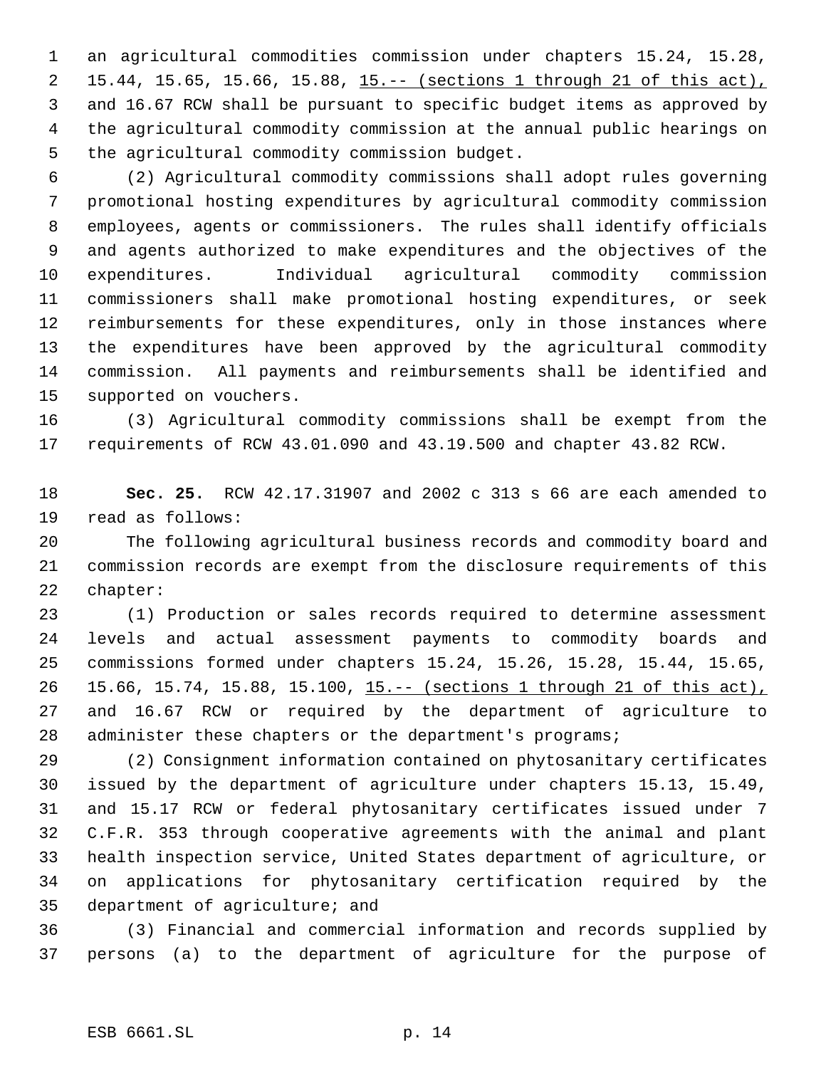an agricultural commodities commission under chapters 15.24, 15.28, 15.44, 15.65, 15.66, 15.88, 15.-- (sections 1 through 21 of this act), and 16.67 RCW shall be pursuant to specific budget items as approved by the agricultural commodity commission at the annual public hearings on the agricultural commodity commission budget.

 (2) Agricultural commodity commissions shall adopt rules governing promotional hosting expenditures by agricultural commodity commission employees, agents or commissioners. The rules shall identify officials and agents authorized to make expenditures and the objectives of the expenditures. Individual agricultural commodity commission commissioners shall make promotional hosting expenditures, or seek reimbursements for these expenditures, only in those instances where the expenditures have been approved by the agricultural commodity commission. All payments and reimbursements shall be identified and supported on vouchers.

 (3) Agricultural commodity commissions shall be exempt from the requirements of RCW 43.01.090 and 43.19.500 and chapter 43.82 RCW.

 **Sec. 25.** RCW 42.17.31907 and 2002 c 313 s 66 are each amended to read as follows:

 The following agricultural business records and commodity board and commission records are exempt from the disclosure requirements of this chapter:

 (1) Production or sales records required to determine assessment levels and actual assessment payments to commodity boards and commissions formed under chapters 15.24, 15.26, 15.28, 15.44, 15.65, 15.66, 15.74, 15.88, 15.100, 15.-- (sections 1 through 21 of this act), and 16.67 RCW or required by the department of agriculture to 28 administer these chapters or the department's programs;

 (2) Consignment information contained on phytosanitary certificates issued by the department of agriculture under chapters 15.13, 15.49, and 15.17 RCW or federal phytosanitary certificates issued under 7 C.F.R. 353 through cooperative agreements with the animal and plant health inspection service, United States department of agriculture, or on applications for phytosanitary certification required by the department of agriculture; and

 (3) Financial and commercial information and records supplied by persons (a) to the department of agriculture for the purpose of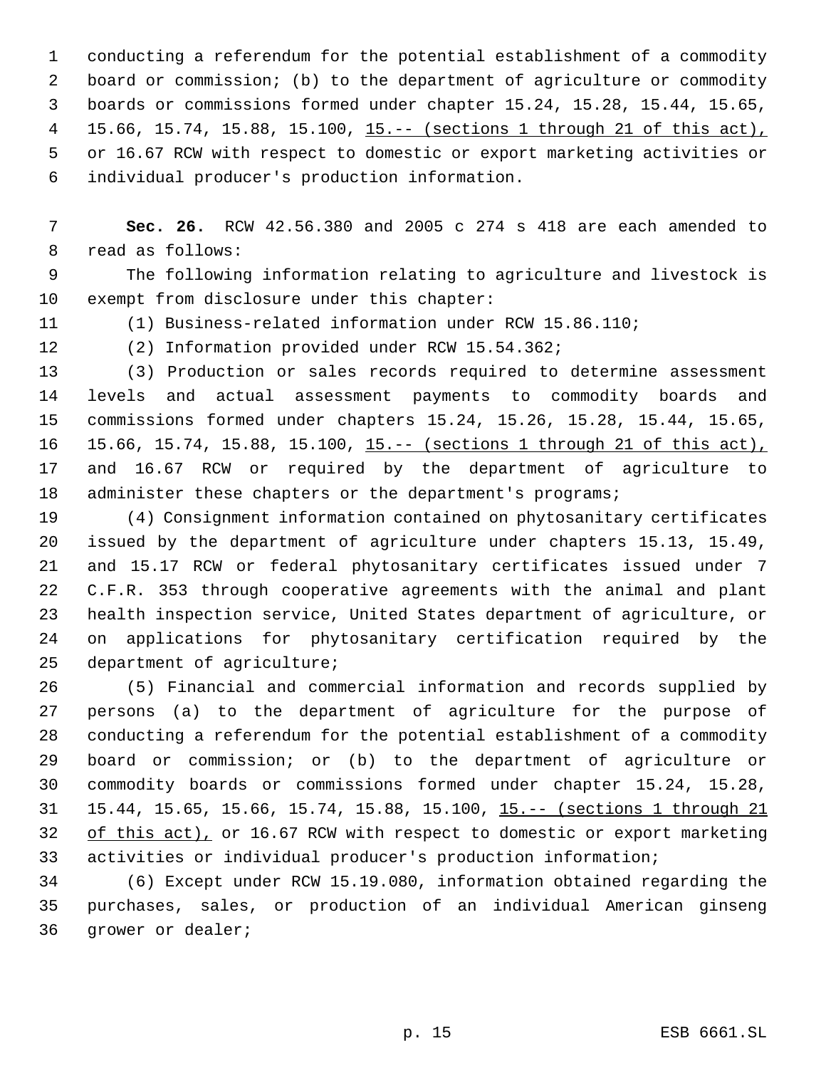conducting a referendum for the potential establishment of a commodity board or commission; (b) to the department of agriculture or commodity boards or commissions formed under chapter 15.24, 15.28, 15.44, 15.65, 15.66, 15.74, 15.88, 15.100, 15.-- (sections 1 through 21 of this act), or 16.67 RCW with respect to domestic or export marketing activities or individual producer's production information.

 **Sec. 26.** RCW 42.56.380 and 2005 c 274 s 418 are each amended to read as follows:

 The following information relating to agriculture and livestock is exempt from disclosure under this chapter:

(1) Business-related information under RCW 15.86.110;

(2) Information provided under RCW 15.54.362;

 (3) Production or sales records required to determine assessment levels and actual assessment payments to commodity boards and commissions formed under chapters 15.24, 15.26, 15.28, 15.44, 15.65, 15.66, 15.74, 15.88, 15.100, 15.-- (sections 1 through 21 of this act), and 16.67 RCW or required by the department of agriculture to 18 administer these chapters or the department's programs;

 (4) Consignment information contained on phytosanitary certificates issued by the department of agriculture under chapters 15.13, 15.49, and 15.17 RCW or federal phytosanitary certificates issued under 7 C.F.R. 353 through cooperative agreements with the animal and plant health inspection service, United States department of agriculture, or on applications for phytosanitary certification required by the department of agriculture;

 (5) Financial and commercial information and records supplied by persons (a) to the department of agriculture for the purpose of conducting a referendum for the potential establishment of a commodity board or commission; or (b) to the department of agriculture or commodity boards or commissions formed under chapter 15.24, 15.28, 15.44, 15.65, 15.66, 15.74, 15.88, 15.100, 15.-- (sections 1 through 21 32 of this act), or 16.67 RCW with respect to domestic or export marketing activities or individual producer's production information;

 (6) Except under RCW 15.19.080, information obtained regarding the purchases, sales, or production of an individual American ginseng grower or dealer;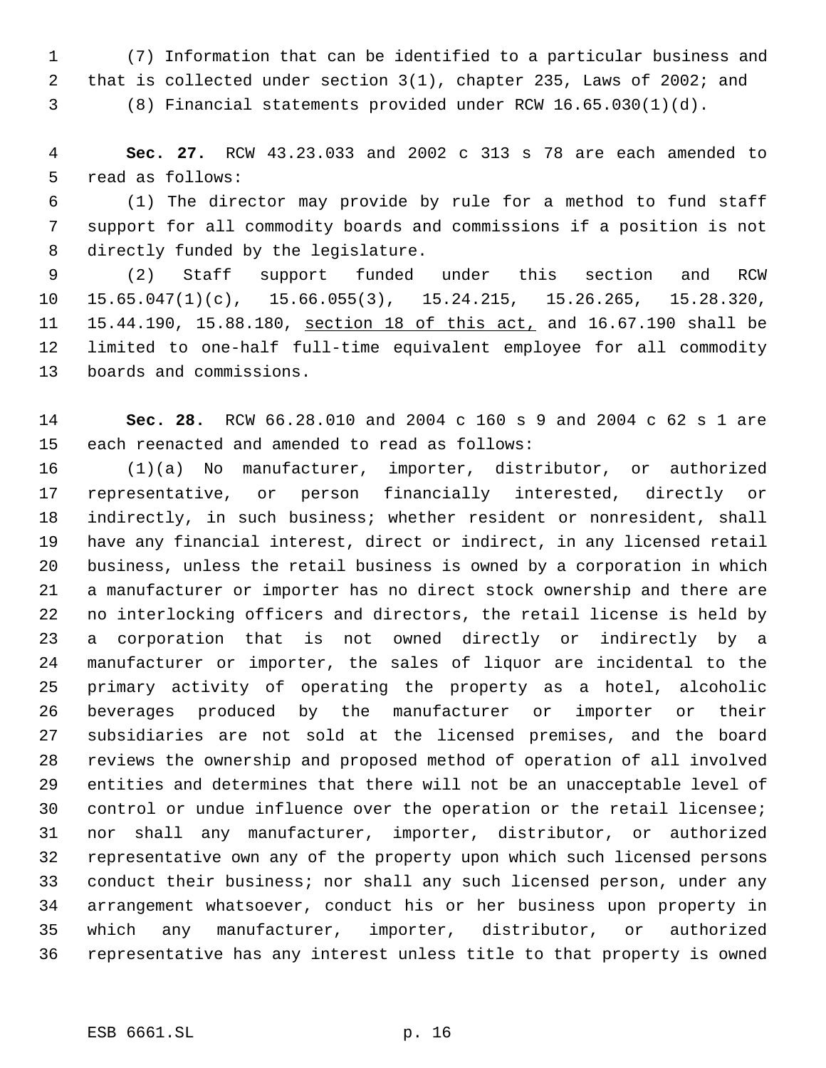(7) Information that can be identified to a particular business and that is collected under section 3(1), chapter 235, Laws of 2002; and

(8) Financial statements provided under RCW 16.65.030(1)(d).

 **Sec. 27.** RCW 43.23.033 and 2002 c 313 s 78 are each amended to read as follows:

 (1) The director may provide by rule for a method to fund staff support for all commodity boards and commissions if a position is not directly funded by the legislature.

 (2) Staff support funded under this section and RCW 15.65.047(1)(c), 15.66.055(3), 15.24.215, 15.26.265, 15.28.320, 15.44.190, 15.88.180, section 18 of this act, and 16.67.190 shall be limited to one-half full-time equivalent employee for all commodity boards and commissions.

 **Sec. 28.** RCW 66.28.010 and 2004 c 160 s 9 and 2004 c 62 s 1 are each reenacted and amended to read as follows:

 (1)(a) No manufacturer, importer, distributor, or authorized representative, or person financially interested, directly or indirectly, in such business; whether resident or nonresident, shall have any financial interest, direct or indirect, in any licensed retail business, unless the retail business is owned by a corporation in which a manufacturer or importer has no direct stock ownership and there are no interlocking officers and directors, the retail license is held by a corporation that is not owned directly or indirectly by a manufacturer or importer, the sales of liquor are incidental to the primary activity of operating the property as a hotel, alcoholic beverages produced by the manufacturer or importer or their subsidiaries are not sold at the licensed premises, and the board reviews the ownership and proposed method of operation of all involved entities and determines that there will not be an unacceptable level of control or undue influence over the operation or the retail licensee; nor shall any manufacturer, importer, distributor, or authorized representative own any of the property upon which such licensed persons conduct their business; nor shall any such licensed person, under any arrangement whatsoever, conduct his or her business upon property in which any manufacturer, importer, distributor, or authorized representative has any interest unless title to that property is owned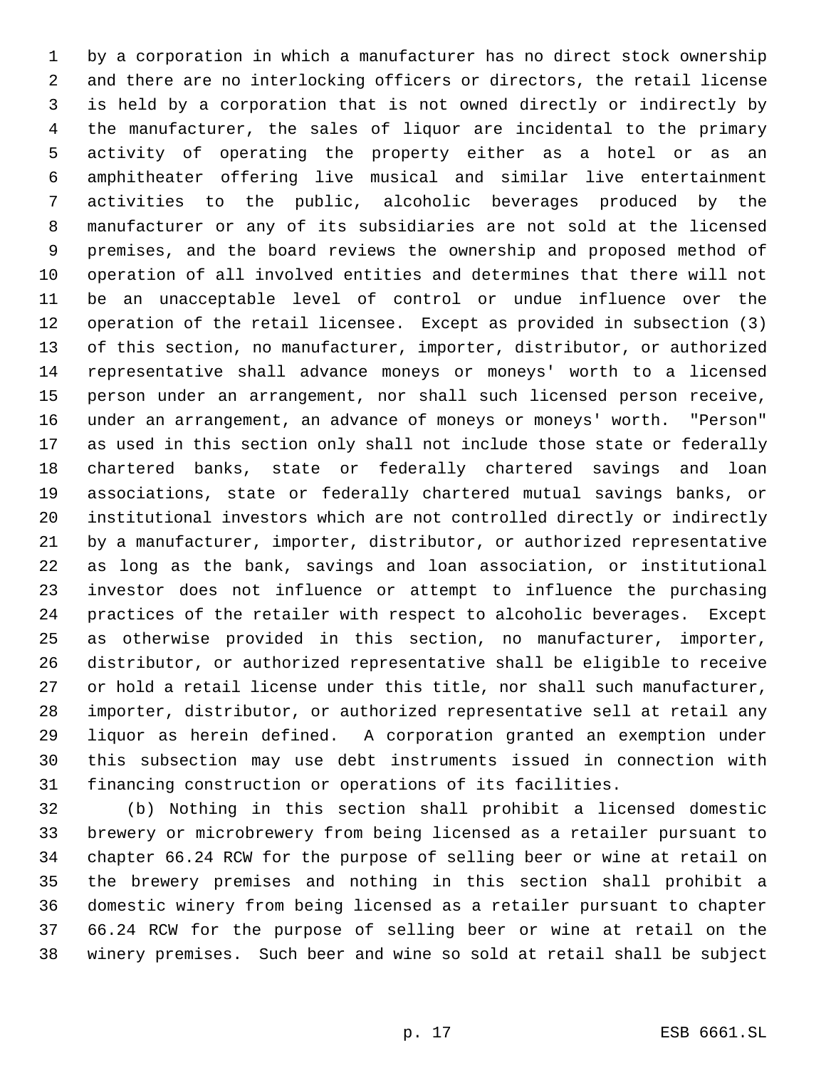by a corporation in which a manufacturer has no direct stock ownership and there are no interlocking officers or directors, the retail license is held by a corporation that is not owned directly or indirectly by the manufacturer, the sales of liquor are incidental to the primary activity of operating the property either as a hotel or as an amphitheater offering live musical and similar live entertainment activities to the public, alcoholic beverages produced by the manufacturer or any of its subsidiaries are not sold at the licensed premises, and the board reviews the ownership and proposed method of operation of all involved entities and determines that there will not be an unacceptable level of control or undue influence over the operation of the retail licensee. Except as provided in subsection (3) of this section, no manufacturer, importer, distributor, or authorized representative shall advance moneys or moneys' worth to a licensed person under an arrangement, nor shall such licensed person receive, under an arrangement, an advance of moneys or moneys' worth. "Person" as used in this section only shall not include those state or federally chartered banks, state or federally chartered savings and loan associations, state or federally chartered mutual savings banks, or institutional investors which are not controlled directly or indirectly by a manufacturer, importer, distributor, or authorized representative as long as the bank, savings and loan association, or institutional investor does not influence or attempt to influence the purchasing practices of the retailer with respect to alcoholic beverages. Except as otherwise provided in this section, no manufacturer, importer, distributor, or authorized representative shall be eligible to receive or hold a retail license under this title, nor shall such manufacturer, importer, distributor, or authorized representative sell at retail any liquor as herein defined. A corporation granted an exemption under this subsection may use debt instruments issued in connection with financing construction or operations of its facilities.

 (b) Nothing in this section shall prohibit a licensed domestic brewery or microbrewery from being licensed as a retailer pursuant to chapter 66.24 RCW for the purpose of selling beer or wine at retail on the brewery premises and nothing in this section shall prohibit a domestic winery from being licensed as a retailer pursuant to chapter 66.24 RCW for the purpose of selling beer or wine at retail on the winery premises. Such beer and wine so sold at retail shall be subject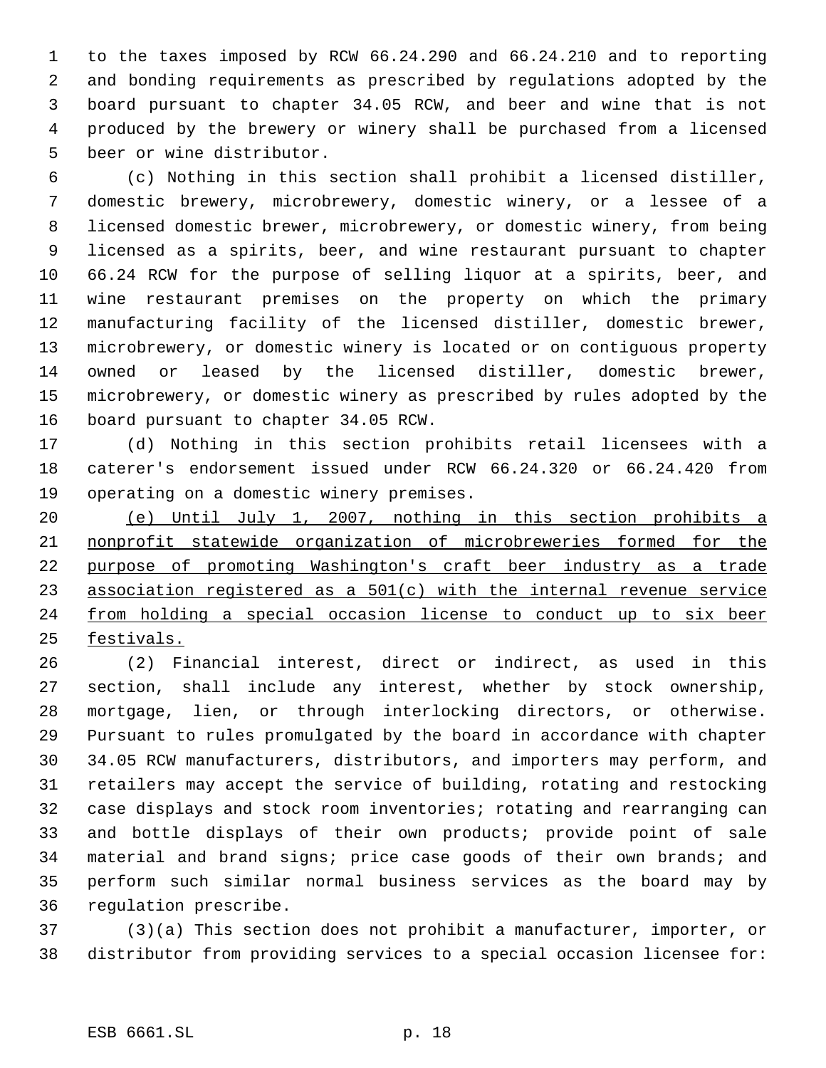to the taxes imposed by RCW 66.24.290 and 66.24.210 and to reporting and bonding requirements as prescribed by regulations adopted by the board pursuant to chapter 34.05 RCW, and beer and wine that is not produced by the brewery or winery shall be purchased from a licensed beer or wine distributor.

 (c) Nothing in this section shall prohibit a licensed distiller, domestic brewery, microbrewery, domestic winery, or a lessee of a licensed domestic brewer, microbrewery, or domestic winery, from being licensed as a spirits, beer, and wine restaurant pursuant to chapter 66.24 RCW for the purpose of selling liquor at a spirits, beer, and wine restaurant premises on the property on which the primary manufacturing facility of the licensed distiller, domestic brewer, microbrewery, or domestic winery is located or on contiguous property owned or leased by the licensed distiller, domestic brewer, microbrewery, or domestic winery as prescribed by rules adopted by the board pursuant to chapter 34.05 RCW.

 (d) Nothing in this section prohibits retail licensees with a caterer's endorsement issued under RCW 66.24.320 or 66.24.420 from operating on a domestic winery premises.

 (e) Until July 1, 2007, nothing in this section prohibits a nonprofit statewide organization of microbreweries formed for the purpose of promoting Washington's craft beer industry as a trade association registered as a 501(c) with the internal revenue service from holding a special occasion license to conduct up to six beer festivals.

 (2) Financial interest, direct or indirect, as used in this section, shall include any interest, whether by stock ownership, mortgage, lien, or through interlocking directors, or otherwise. Pursuant to rules promulgated by the board in accordance with chapter 34.05 RCW manufacturers, distributors, and importers may perform, and retailers may accept the service of building, rotating and restocking case displays and stock room inventories; rotating and rearranging can and bottle displays of their own products; provide point of sale material and brand signs; price case goods of their own brands; and perform such similar normal business services as the board may by regulation prescribe.

 (3)(a) This section does not prohibit a manufacturer, importer, or distributor from providing services to a special occasion licensee for: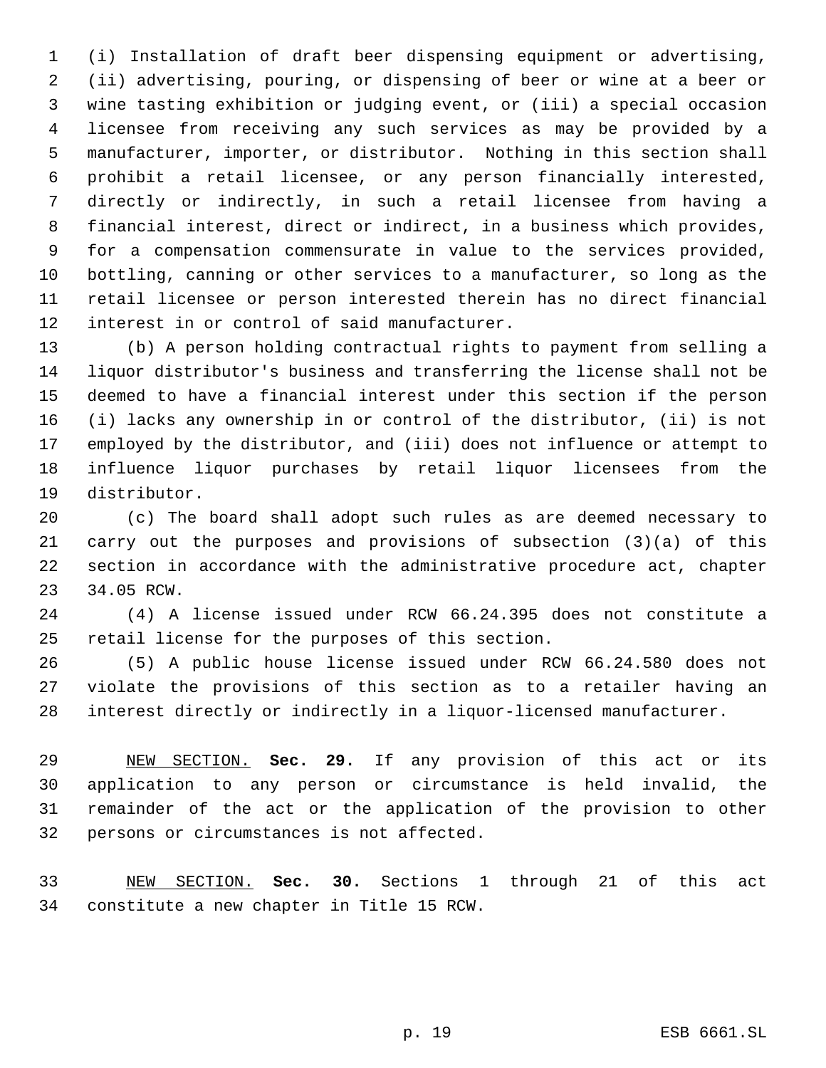(i) Installation of draft beer dispensing equipment or advertising, (ii) advertising, pouring, or dispensing of beer or wine at a beer or wine tasting exhibition or judging event, or (iii) a special occasion licensee from receiving any such services as may be provided by a manufacturer, importer, or distributor. Nothing in this section shall prohibit a retail licensee, or any person financially interested, directly or indirectly, in such a retail licensee from having a financial interest, direct or indirect, in a business which provides, for a compensation commensurate in value to the services provided, bottling, canning or other services to a manufacturer, so long as the retail licensee or person interested therein has no direct financial interest in or control of said manufacturer.

 (b) A person holding contractual rights to payment from selling a liquor distributor's business and transferring the license shall not be deemed to have a financial interest under this section if the person (i) lacks any ownership in or control of the distributor, (ii) is not employed by the distributor, and (iii) does not influence or attempt to influence liquor purchases by retail liquor licensees from the distributor.

 (c) The board shall adopt such rules as are deemed necessary to carry out the purposes and provisions of subsection (3)(a) of this section in accordance with the administrative procedure act, chapter 34.05 RCW.

 (4) A license issued under RCW 66.24.395 does not constitute a retail license for the purposes of this section.

 (5) A public house license issued under RCW 66.24.580 does not violate the provisions of this section as to a retailer having an interest directly or indirectly in a liquor-licensed manufacturer.

 NEW SECTION. **Sec. 29.** If any provision of this act or its application to any person or circumstance is held invalid, the remainder of the act or the application of the provision to other persons or circumstances is not affected.

 NEW SECTION. **Sec. 30.** Sections 1 through 21 of this act constitute a new chapter in Title 15 RCW.